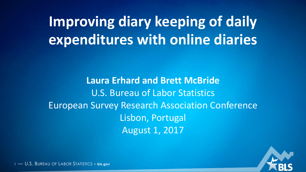**Improving diary keeping of daily expenditures with online diaries**

**Laura Erhard and Brett McBride** U.S. Bureau of Labor Statistics European Survey Research Association Conference Lisbon, Portugal August 1, 2017

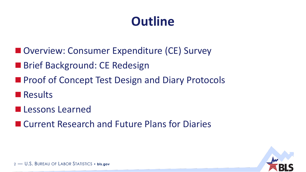# **Outline**

- Overview: Consumer Expenditure (CE) Survey
- **Brief Background: CE Redesign**
- **Proof of Concept Test Design and Diary Protocols**
- **Results**
- **Lessons Learned**
- Current Research and Future Plans for Diaries

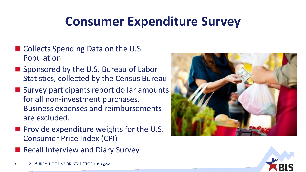## **Consumer Expenditure Survey**

- Collects Spending Data on the U.S. Population
- Sponsored by the U.S. Bureau of Labor Statistics, collected by the Census Bureau
- Survey participants report dollar amounts for all non-investment purchases. Business expenses and reimbursements are excluded.
- $\blacksquare$  Provide expenditure weights for the U.S. Consumer Price Index (CPI)
- Recall Interview and Diary Survey





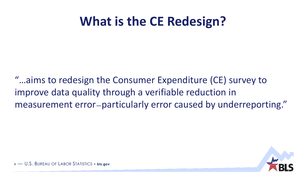#### **What is the CE Redesign?**

"…aims to redesign the Consumer Expenditure (CE) survey to improve data quality through a verifiable reduction in measurement error—particularly error caused by underreporting."

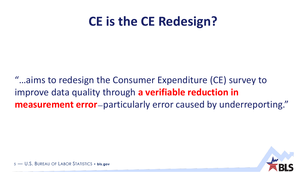#### **CE is the CE Redesign?**

"…aims to redesign the Consumer Expenditure (CE) survey to improve data quality through **a verifiable reduction in measurement error**—particularly error caused by underreporting."

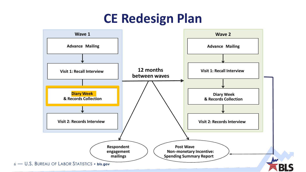#### **CE Redesign Plan**

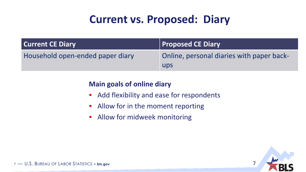#### **Current vs. Proposed: Diary**

| <b>Current CE Diary</b>          | <b>Proposed CE Diary</b>                  |
|----------------------------------|-------------------------------------------|
| Household open-ended paper diary | Online, personal diaries with paper back- |
|                                  | ups                                       |

#### **Main goals of online diary**

- **Add flexibility and ease for respondents**
- **Allow for in the moment reporting**
- **Allow for midweek monitoring**

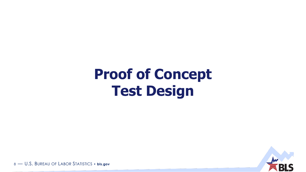# **Proof of Concept Test Design**

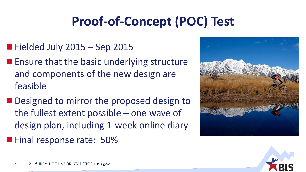# **Proof-of-Concept (POC) Test**

- $\blacksquare$  Fielded July 2015 Sep 2015
- $\blacksquare$  Ensure that the basic underlying structure and components of the new design are feasible
- Designed to mirror the proposed design to the fullest extent possible – one wave of design plan, including 1-week online diary
- **Final response rate: 50%**



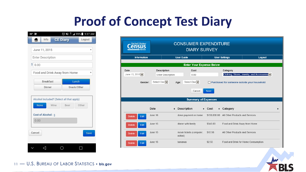#### **Proof of Concept Test Diary**

| $83^\circ$    |                          |                                                   | <b>◎ 多 品 11 99% 9:27 AM</b> |
|---------------|--------------------------|---------------------------------------------------|-----------------------------|
| ñ             | Info                     | <b>CE Diary</b>                                   | Logout                      |
| June 11, 2015 |                          |                                                   |                             |
|               | <b>Enter Description</b> |                                                   |                             |
| \$<br>0.00    |                          |                                                   |                             |
|               |                          | Food and Drink Away from Home                     |                             |
|               | <b>Breakfast</b>         | Lunch                                             |                             |
|               | Dinner                   | Snack/Other                                       |                             |
| <b>None</b>   | Wine                     | Alcohol Included? (Select all that apply)<br>Beer | Other                       |
| 0.00          | Cost of Alcohol: \$      |                                                   |                             |
| Cancel        |                          |                                                   | <b>Save</b>                 |
|               |                          |                                                   |                             |
|               |                          |                                                   |                             |

| <b>CONSUMER EXPENDITURE</b><br>United States"<br><b>DIARY SURVEY</b> |                                                |                                     |                          |                                 |                                              |
|----------------------------------------------------------------------|------------------------------------------------|-------------------------------------|--------------------------|---------------------------------|----------------------------------------------|
| <b>Information</b>                                                   |                                                | <b>User Guide</b>                   | <b>User Settings</b>     |                                 | Logout                                       |
|                                                                      |                                                | <b>Enter Your Expense Below</b>     |                          |                                 |                                              |
| Date<br>June 15, 2015 V                                              | <b>Description</b><br><b>Enter Description</b> | Cost<br>0.00                        |                          | Category                        | Clothing, Shoes, Jewelry, and Accessories v  |
| Gender:                                                              | Select One $\vert \bm{\vee} \vert$             | Select One $\vee$<br>Age:           |                          |                                 | Purchased for someone outside your household |
|                                                                      |                                                | Cancel                              | Save                     |                                 |                                              |
|                                                                      |                                                | <b>Summary of Expenses</b>          |                          |                                 |                                              |
|                                                                      | Date                                           | $\div$ Description                  | $\div$ Cost<br>$\bullet$ | Category                        | ◆                                            |
| <b>Delete</b><br>Edit                                                | June 16                                        | down payment on home                | \$150,000.00             | All Other Products and Services |                                              |
| Edit<br><b>Delete</b>                                                | June 15                                        | dinner with family                  | \$345.00                 | Food and Drink Away from Home   |                                              |
| Edit<br><b>Delete</b>                                                | June 15                                        | movie tickets (computer,<br>edited) | \$10.98                  | All Other Products and Services |                                              |
| Edit<br><b>Delete</b>                                                | June 15                                        | bananas                             | \$2.53                   |                                 | Food and Drink for Home Consumption          |

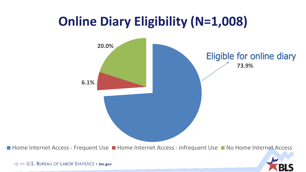#### **Online Diary Eligibility (N=1,008)**



■ Home Internet Access - Frequent Use ■ Home Internet Access - Infrequent Use ■ No Home Internet Access

![](_page_10_Picture_3.jpeg)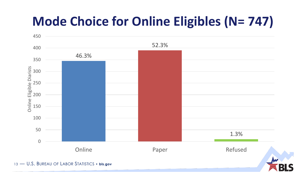## **Mode Choice for Online Eligibles (N= 747)**

![](_page_11_Figure_1.jpeg)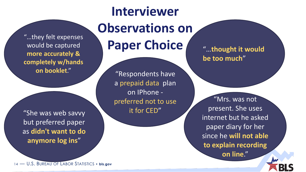"…they felt expenses would be captured **more accurately & completely w/hands on booklet**."

"She was web savvy but preferred paper as **didn't want to do anymore log ins**"

# **Interviewer Observations on Paper Choice**

"Respondents have a prepaid data plan on IPhone preferred not to use it for CED"

"…**thought it would be too much**"

"Mrs. was not present. She uses internet but he asked paper diary for her since he **will not able to explain recording** 

**on line**."

![](_page_12_Picture_7.jpeg)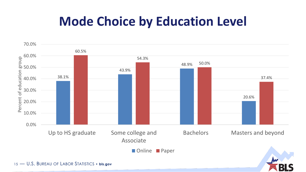#### **Mode Choice by Education Level**

![](_page_13_Figure_1.jpeg)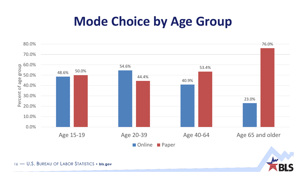#### **Mode Choice by Age Group**

![](_page_14_Figure_1.jpeg)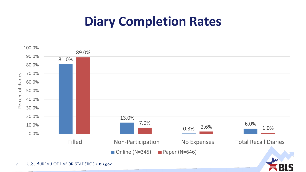#### **Diary Completion Rates**

![](_page_15_Figure_1.jpeg)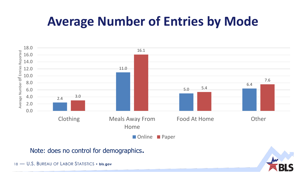## **Average Number of Entries by Mode**

![](_page_16_Figure_1.jpeg)

Note: does no control for demographics.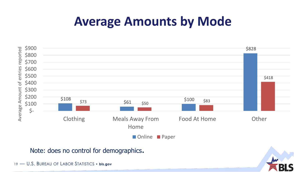#### **Average Amounts by Mode**

![](_page_17_Figure_1.jpeg)

Note: does no control for demographics.

![](_page_17_Picture_4.jpeg)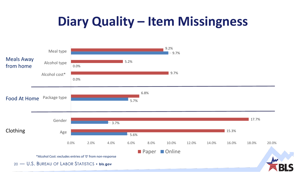## **Diary Quality – Item Missingness**

![](_page_18_Figure_1.jpeg)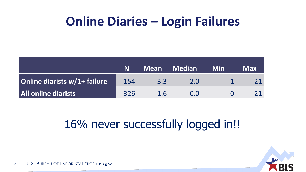#### **Online Diaries – Login Failures**

|                              |     | Mean | <b>Nedian</b> | <b>Min</b> | <b>Max</b> |
|------------------------------|-----|------|---------------|------------|------------|
| Online diarists w/1+ failure | 154 | 3.3  | 2.0           |            |            |
| <b>All online diarists</b>   | 326 | 1.6  | O O           |            |            |

#### 16% never successfully logged in!!

![](_page_19_Picture_3.jpeg)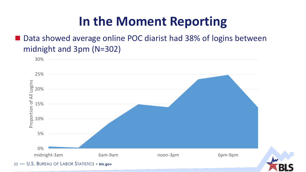#### **In the Moment Reporting**

■ Data showed average online POC diarist had 38% of logins between midnight and 3pm (N=302)

![](_page_20_Figure_2.jpeg)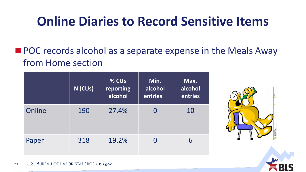#### **Online Diaries to Record Sensitive Items**

**POC** records alcohol as a separate expense in the Meals Away from Home section

|        | N (CUs) | % CUs<br>reporting<br>alcohol | Min.<br>alcohol<br>entries | Max.<br>alcohol<br>entries |
|--------|---------|-------------------------------|----------------------------|----------------------------|
| Online | 190     | 27.4%                         |                            | 10                         |
| Paper  | 318     | 19.2%                         |                            | 6                          |

![](_page_21_Picture_3.jpeg)

![](_page_21_Picture_4.jpeg)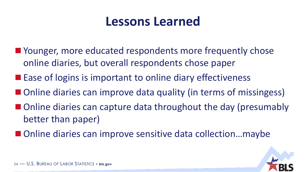#### **Lessons Learned**

- Younger, more educated respondents more frequently chose online diaries, but overall respondents chose paper
- $\blacksquare$  Ease of logins is important to online diary effectiveness
- Online diaries can improve data quality (in terms of missingess)
- Online diaries can capture data throughout the day (presumably better than paper)
- Online diaries can improve sensitive data collection...maybe

![](_page_22_Picture_6.jpeg)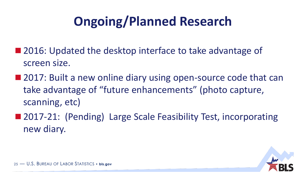# **Ongoing/Planned Research**

- 2016: Updated the desktop interface to take advantage of screen size.
- 2017: Built a new online diary using open-source code that can take advantage of "future enhancements" (photo capture, scanning, etc)
- 2017-21: (Pending) Large Scale Feasibility Test, incorporating new diary.

![](_page_23_Picture_4.jpeg)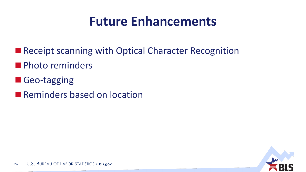#### **Future Enhancements**

- Receipt scanning with Optical Character Recognition
- **Photo reminders**
- Geo-tagging
- **Reminders based on location**

![](_page_24_Picture_5.jpeg)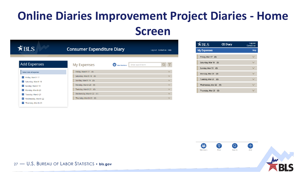#### **Online Diaries Improvement Project Diaries - Home Screen**

| $\leq$ BLS                          | <b>Consumer Expenditure Diary</b> |                                               | Log out Contact us Help |
|-------------------------------------|-----------------------------------|-----------------------------------------------|-------------------------|
| <b>Add Expenses</b>                 | <b>My Expenses</b>                | 8<br>Enter search term<br><b>View Members</b> |                         |
| Select date of expense:             | Friday, March 17 (0)              |                                               | $\checkmark$            |
| ĭΪ<br>Friday, March 17              | Saturday, March 18 (0)            |                                               | $\checkmark$            |
| $\frac{6}{2}$<br>Saturday, March 18 | Sunday, March 19 (0)              |                                               | $\checkmark$            |
| <u>"3"</u><br>Sunday, March 19      | Monday, March 20 (0)              |                                               | $\checkmark$            |
| Ľ4<br>Monday, March 20              | Tuesday, March 21 (0)             |                                               | $\checkmark$            |
| <u>'5'</u><br>Tuesday, March 21     | Wednesday, March 22 (1)           |                                               | $\checkmark$            |
| $6^{\circ}$<br>Wednesday, March 22  | Thursday, March 23 (0)            |                                               | $\checkmark$            |
| "ז<br>Thursday, March 23            |                                   |                                               |                         |

| $K =$                 | <b>CE Diary</b> | Log out<br><b>Contact us</b> |
|-----------------------|-----------------|------------------------------|
| <b>My Expenses</b>    |                 | <b>Help</b>                  |
| Friday, Mar 17 (0)    |                 |                              |
| Saturday, Mar 18 (0)  |                 |                              |
| Sunday, Mar 19 (0)    |                 |                              |
| Monday, Mar 20 (0)    |                 |                              |
| Tuesday, Mar 21 (0)   |                 |                              |
| Wednesday, Mar 22 (1) |                 |                              |
| Thursday, Mar 23 (0)  |                 |                              |

![](_page_25_Picture_3.jpeg)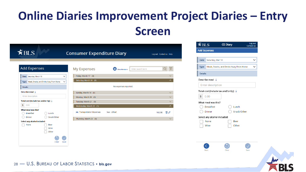#### **Online Diaries Improvement Project Diaries – Entry Screen**

| $\H \equiv {\rm BLS}$                                                | <b>Consumer Expenditure Diary</b> |                                                       | Log out Contact us Help |
|----------------------------------------------------------------------|-----------------------------------|-------------------------------------------------------|-------------------------|
| <b>Add Expenses</b>                                                  | <b>My Expenses</b>                | Enter search term<br><b>PA</b><br><b>View Members</b> |                         |
| Date: Saturday, March 18<br>$\checkmark$                             | Friday, March 17 (0)              |                                                       |                         |
| Type: Meals, Snacks, and Drinks Away From Home<br>$\checkmark$       | Saturday, March 18 (0)            |                                                       | $\wedge$                |
| <b>Details:</b>                                                      |                                   | No expenses reported.                                 |                         |
| Describe meal i                                                      | Sunday, March 19 (0)              |                                                       | $\checkmark$            |
| Enter description                                                    | Monday, March 20 (0)              |                                                       | $\checkmark$            |
| Total cost (include tax and/or tip) $\frac{1}{1}$                    | Tuesday, March 21 (0)             |                                                       | $\checkmark$            |
| $\frac{1}{2}$<br>0.00                                                | Wednesday, March 22 (1)           |                                                       | $\wedge$                |
| What meal was this?<br><b>Breakfast</b><br>Lunch                     | Transportation Expenses           | Gas - 20Gal                                           | 扁∥<br>\$43.98           |
| Snack/Other<br><b>Dinner</b>                                         | Thursday, March 23 (0)            |                                                       |                         |
| Select any alcohol included:<br><b>Beer</b><br>None<br>Wine<br>Other |                                   |                                                       |                         |

| BLS          |                                                    | <b>CE Diary</b>                          | Log out<br><b>Contact us</b> |
|--------------|----------------------------------------------------|------------------------------------------|------------------------------|
| Add Expenses |                                                    |                                          |                              |
|              |                                                    |                                          |                              |
| Date:        | Saturday, Mar 18                                   |                                          |                              |
| Type:        |                                                    | Meals, Snacks, and Drinks Away From Home |                              |
| Details:     |                                                    |                                          |                              |
|              | Describe meal i                                    |                                          |                              |
|              | <b>Enter description</b>                           |                                          |                              |
|              | Total cost (include tax and/or tip) $\overline{i}$ |                                          |                              |
| \$           | 0.00                                               |                                          |                              |
|              | What meal was this?                                |                                          |                              |
|              | <b>Breakfast</b>                                   | Lunch                                    |                              |
|              | <b>Dinner</b>                                      | Snack/Other                              |                              |
|              | Select any alcohol included:                       |                                          |                              |
|              | None                                               | Beer                                     |                              |
|              | Wine                                               | Other                                    |                              |
|              |                                                    |                                          |                              |
|              |                                                    |                                          |                              |
|              |                                                    |                                          |                              |

![](_page_26_Picture_3.jpeg)